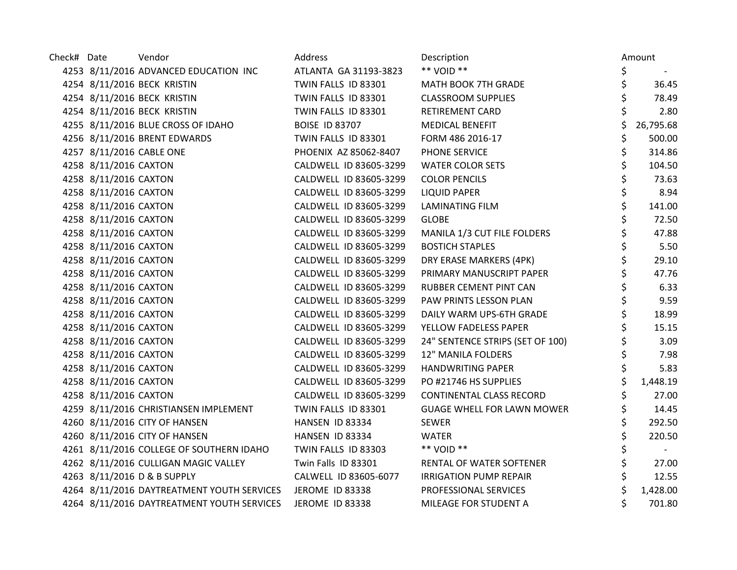| Check# Date |                       | Vendor                                                     | Address                | Description                       | Amount          |
|-------------|-----------------------|------------------------------------------------------------|------------------------|-----------------------------------|-----------------|
|             |                       | 4253 8/11/2016 ADVANCED EDUCATION INC                      | ATLANTA GA 31193-3823  | ** VOID **                        | \$              |
|             |                       | 4254 8/11/2016 BECK KRISTIN                                | TWIN FALLS ID 83301    | MATH BOOK 7TH GRADE               | \$<br>36.45     |
|             |                       | 4254 8/11/2016 BECK KRISTIN                                | TWIN FALLS ID 83301    | <b>CLASSROOM SUPPLIES</b>         | \$<br>78.49     |
|             |                       | 4254 8/11/2016 BECK KRISTIN                                | TWIN FALLS ID 83301    | RETIREMENT CARD                   | 2.80            |
|             |                       | 4255 8/11/2016 BLUE CROSS OF IDAHO                         | <b>BOISE ID 83707</b>  | MEDICAL BENEFIT                   | \$<br>26,795.68 |
|             |                       | 4256 8/11/2016 BRENT EDWARDS                               | TWIN FALLS ID 83301    | FORM 486 2016-17                  | \$<br>500.00    |
|             |                       | 4257 8/11/2016 CABLE ONE                                   | PHOENIX AZ 85062-8407  | PHONE SERVICE                     | \$<br>314.86    |
|             | 4258 8/11/2016 CAXTON |                                                            | CALDWELL ID 83605-3299 | <b>WATER COLOR SETS</b>           | \$<br>104.50    |
|             | 4258 8/11/2016 CAXTON |                                                            | CALDWELL ID 83605-3299 | <b>COLOR PENCILS</b>              | \$<br>73.63     |
|             | 4258 8/11/2016 CAXTON |                                                            | CALDWELL ID 83605-3299 | <b>LIQUID PAPER</b>               | \$<br>8.94      |
|             | 4258 8/11/2016 CAXTON |                                                            | CALDWELL ID 83605-3299 | LAMINATING FILM                   | \$<br>141.00    |
|             | 4258 8/11/2016 CAXTON |                                                            | CALDWELL ID 83605-3299 | <b>GLOBE</b>                      | \$<br>72.50     |
|             | 4258 8/11/2016 CAXTON |                                                            | CALDWELL ID 83605-3299 | MANILA 1/3 CUT FILE FOLDERS       | \$<br>47.88     |
|             | 4258 8/11/2016 CAXTON |                                                            | CALDWELL ID 83605-3299 | <b>BOSTICH STAPLES</b>            | \$<br>5.50      |
|             | 4258 8/11/2016 CAXTON |                                                            | CALDWELL ID 83605-3299 | DRY ERASE MARKERS (4PK)           | \$<br>29.10     |
|             | 4258 8/11/2016 CAXTON |                                                            | CALDWELL ID 83605-3299 | PRIMARY MANUSCRIPT PAPER          | \$<br>47.76     |
|             | 4258 8/11/2016 CAXTON |                                                            | CALDWELL ID 83605-3299 | RUBBER CEMENT PINT CAN            | \$<br>6.33      |
|             | 4258 8/11/2016 CAXTON |                                                            | CALDWELL ID 83605-3299 | PAW PRINTS LESSON PLAN            | \$<br>9.59      |
|             | 4258 8/11/2016 CAXTON |                                                            | CALDWELL ID 83605-3299 | DAILY WARM UPS-6TH GRADE          | \$<br>18.99     |
|             | 4258 8/11/2016 CAXTON |                                                            | CALDWELL ID 83605-3299 | YELLOW FADELESS PAPER             | \$<br>15.15     |
|             | 4258 8/11/2016 CAXTON |                                                            | CALDWELL ID 83605-3299 | 24" SENTENCE STRIPS (SET OF 100)  | \$<br>3.09      |
|             | 4258 8/11/2016 CAXTON |                                                            | CALDWELL ID 83605-3299 | 12" MANILA FOLDERS                | \$<br>7.98      |
|             | 4258 8/11/2016 CAXTON |                                                            | CALDWELL ID 83605-3299 | <b>HANDWRITING PAPER</b>          | \$<br>5.83      |
|             | 4258 8/11/2016 CAXTON |                                                            | CALDWELL ID 83605-3299 | PO #21746 HS SUPPLIES             | \$<br>1,448.19  |
|             | 4258 8/11/2016 CAXTON |                                                            | CALDWELL ID 83605-3299 | CONTINENTAL CLASS RECORD          | \$<br>27.00     |
|             |                       | 4259 8/11/2016 CHRISTIANSEN IMPLEMENT                      | TWIN FALLS ID 83301    | <b>GUAGE WHELL FOR LAWN MOWER</b> | \$<br>14.45     |
|             |                       | 4260 8/11/2016 CITY OF HANSEN                              | HANSEN ID 83334        | SEWER                             | \$<br>292.50    |
|             |                       | 4260 8/11/2016 CITY OF HANSEN                              | HANSEN ID 83334        | <b>WATER</b>                      | \$<br>220.50    |
|             |                       | 4261 8/11/2016 COLLEGE OF SOUTHERN IDAHO                   | TWIN FALLS ID 83303    | ** VOID **                        | \$              |
|             |                       | 4262 8/11/2016 CULLIGAN MAGIC VALLEY                       | Twin Falls ID 83301    | RENTAL OF WATER SOFTENER          | \$<br>27.00     |
|             |                       | 4263 8/11/2016 D & B SUPPLY                                | CALWELL ID 83605-6077  | <b>IRRIGATION PUMP REPAIR</b>     | \$<br>12.55     |
|             |                       | 4264 8/11/2016 DAYTREATMENT YOUTH SERVICES JEROME ID 83338 |                        | PROFESSIONAL SERVICES             | \$<br>1,428.00  |
|             |                       | 4264 8/11/2016 DAYTREATMENT YOUTH SERVICES                 | JEROME ID 83338        | MILEAGE FOR STUDENT A             | 701.80          |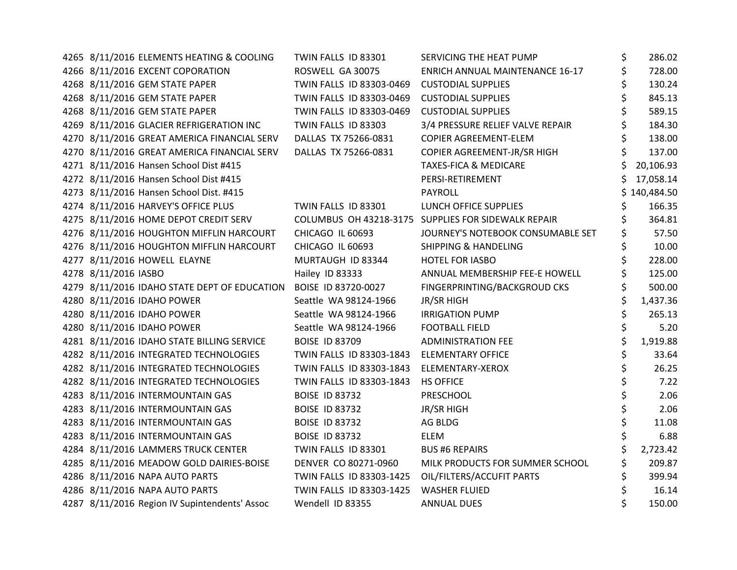| 4265 8/11/2016 ELEMENTS HEATING & COOLING     | TWIN FALLS ID 83301      | SERVICING THE HEAT PUMP                             | \$ | 286.02     |
|-----------------------------------------------|--------------------------|-----------------------------------------------------|----|------------|
| 4266 8/11/2016 EXCENT COPORATION              | ROSWELL GA 30075         | <b>ENRICH ANNUAL MAINTENANCE 16-17</b>              | \$ | 728.00     |
| 4268 8/11/2016 GEM STATE PAPER                | TWIN FALLS ID 83303-0469 | <b>CUSTODIAL SUPPLIES</b>                           |    | 130.24     |
| 4268 8/11/2016 GEM STATE PAPER                | TWIN FALLS ID 83303-0469 | <b>CUSTODIAL SUPPLIES</b>                           |    | 845.13     |
| 4268 8/11/2016 GEM STATE PAPER                | TWIN FALLS ID 83303-0469 | <b>CUSTODIAL SUPPLIES</b>                           |    | 589.15     |
| 4269 8/11/2016 GLACIER REFRIGERATION INC      | TWIN FALLS ID 83303      | 3/4 PRESSURE RELIEF VALVE REPAIR                    | \$ | 184.30     |
| 4270 8/11/2016 GREAT AMERICA FINANCIAL SERV   | DALLAS TX 75266-0831     | COPIER AGREEMENT-ELEM                               | Ś  | 138.00     |
| 4270 8/11/2016 GREAT AMERICA FINANCIAL SERV   | DALLAS TX 75266-0831     | COPIER AGREEMENT-JR/SR HIGH                         |    | 137.00     |
| 4271 8/11/2016 Hansen School Dist #415        |                          | <b>TAXES-FICA &amp; MEDICARE</b>                    |    | 20,106.93  |
| 4272 8/11/2016 Hansen School Dist #415        |                          | PERSI-RETIREMENT                                    |    | 17,058.14  |
| 4273 8/11/2016 Hansen School Dist. #415       |                          | <b>PAYROLL</b>                                      | S. | 140,484.50 |
| 4274 8/11/2016 HARVEY'S OFFICE PLUS           | TWIN FALLS ID 83301      | LUNCH OFFICE SUPPLIES                               | Ś  | 166.35     |
| 4275 8/11/2016 HOME DEPOT CREDIT SERV         |                          | COLUMBUS OH 43218-3175 SUPPLIES FOR SIDEWALK REPAIR | \$ | 364.81     |
| 4276 8/11/2016 HOUGHTON MIFFLIN HARCOURT      | CHICAGO IL 60693         | JOURNEY'S NOTEBOOK CONSUMABLE SET                   | \$ | 57.50      |
| 4276 8/11/2016 HOUGHTON MIFFLIN HARCOURT      | CHICAGO IL 60693         | <b>SHIPPING &amp; HANDELING</b>                     | \$ | 10.00      |
| 4277 8/11/2016 HOWELL ELAYNE                  | MURTAUGH ID 83344        | HOTEL FOR IASBO                                     | \$ | 228.00     |
| 4278 8/11/2016 IASBO                          | Hailey ID 83333          | ANNUAL MEMBERSHIP FEE-E HOWELL                      |    | 125.00     |
| 4279 8/11/2016 IDAHO STATE DEPT OF EDUCATION  | BOISE ID 83720-0027      | FINGERPRINTING/BACKGROUD CKS                        |    | 500.00     |
| 4280 8/11/2016 IDAHO POWER                    | Seattle WA 98124-1966    | JR/SR HIGH                                          | \$ | 1,437.36   |
| 4280 8/11/2016 IDAHO POWER                    | Seattle WA 98124-1966    | <b>IRRIGATION PUMP</b>                              | \$ | 265.13     |
| 4280 8/11/2016 IDAHO POWER                    | Seattle WA 98124-1966    | <b>FOOTBALL FIELD</b>                               | \$ | 5.20       |
| 4281 8/11/2016 IDAHO STATE BILLING SERVICE    | <b>BOISE ID 83709</b>    | <b>ADMINISTRATION FEE</b>                           | \$ | 1,919.88   |
| 4282 8/11/2016 INTEGRATED TECHNOLOGIES        | TWIN FALLS ID 83303-1843 | <b>ELEMENTARY OFFICE</b>                            | \$ | 33.64      |
| 4282 8/11/2016 INTEGRATED TECHNOLOGIES        | TWIN FALLS ID 83303-1843 | ELEMENTARY-XEROX                                    | \$ | 26.25      |
| 4282 8/11/2016 INTEGRATED TECHNOLOGIES        | TWIN FALLS ID 83303-1843 | <b>HS OFFICE</b>                                    | \$ | 7.22       |
| 4283 8/11/2016 INTERMOUNTAIN GAS              | <b>BOISE ID 83732</b>    | <b>PRESCHOOL</b>                                    | \$ | 2.06       |
| 4283 8/11/2016 INTERMOUNTAIN GAS              | <b>BOISE ID 83732</b>    | JR/SR HIGH                                          | \$ | 2.06       |
| 4283 8/11/2016 INTERMOUNTAIN GAS              | <b>BOISE ID 83732</b>    | AG BLDG                                             | \$ | 11.08      |
| 4283 8/11/2016 INTERMOUNTAIN GAS              | <b>BOISE ID 83732</b>    | <b>ELEM</b>                                         | \$ | 6.88       |
| 4284 8/11/2016 LAMMERS TRUCK CENTER           | TWIN FALLS ID 83301      | <b>BUS #6 REPAIRS</b>                               | \$ | 2,723.42   |
| 4285 8/11/2016 MEADOW GOLD DAIRIES-BOISE      | DENVER CO 80271-0960     | MILK PRODUCTS FOR SUMMER SCHOOL                     | \$ | 209.87     |
| 4286 8/11/2016 NAPA AUTO PARTS                | TWIN FALLS ID 83303-1425 | OIL/FILTERS/ACCUFIT PARTS                           | \$ | 399.94     |
| 4286 8/11/2016 NAPA AUTO PARTS                | TWIN FALLS ID 83303-1425 | <b>WASHER FLUIED</b>                                | \$ | 16.14      |
| 4287 8/11/2016 Region IV Supintendents' Assoc | Wendell ID 83355         | <b>ANNUAL DUES</b>                                  |    | 150.00     |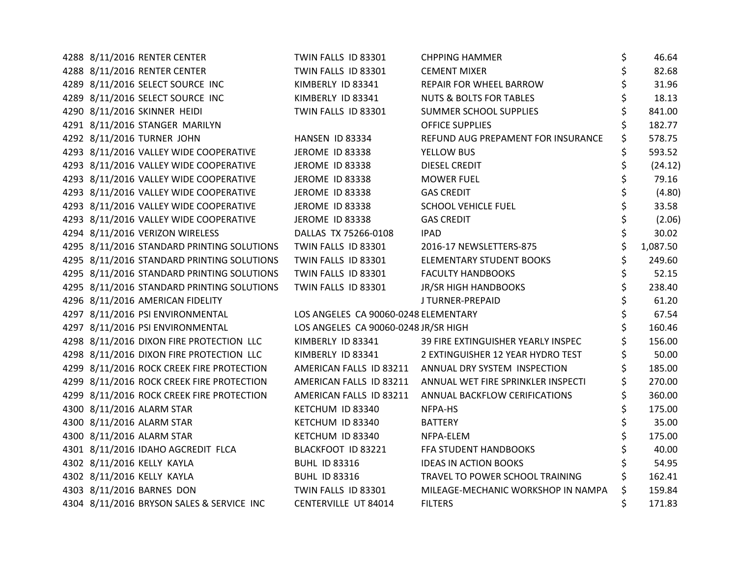|  | 4288 8/11/2016 RENTER CENTER               | TWIN FALLS ID 83301                  | <b>CHPPING HAMMER</b>                                | \$<br>46.64  |
|--|--------------------------------------------|--------------------------------------|------------------------------------------------------|--------------|
|  | 4288 8/11/2016 RENTER CENTER               | TWIN FALLS ID 83301                  | <b>CEMENT MIXER</b>                                  | \$<br>82.68  |
|  | 4289 8/11/2016 SELECT SOURCE INC           | KIMBERLY ID 83341                    | REPAIR FOR WHEEL BARROW                              | \$<br>31.96  |
|  | 4289 8/11/2016 SELECT SOURCE INC           | KIMBERLY ID 83341                    | <b>NUTS &amp; BOLTS FOR TABLES</b>                   | \$<br>18.13  |
|  | 4290 8/11/2016 SKINNER HEIDI               | TWIN FALLS ID 83301                  | SUMMER SCHOOL SUPPLIES                               | 841.00       |
|  | 4291 8/11/2016 STANGER MARILYN             |                                      | <b>OFFICE SUPPLIES</b>                               | \$<br>182.77 |
|  | 4292 8/11/2016 TURNER JOHN                 | HANSEN ID 83334                      | REFUND AUG PREPAMENT FOR INSURANCE                   | \$<br>578.75 |
|  | 4293 8/11/2016 VALLEY WIDE COOPERATIVE     | <b>JEROME ID 83338</b>               | YELLOW BUS                                           | 593.52       |
|  | 4293 8/11/2016 VALLEY WIDE COOPERATIVE     | <b>JEROME ID 83338</b>               | <b>DIESEL CREDIT</b>                                 | (24.12)      |
|  | 4293 8/11/2016 VALLEY WIDE COOPERATIVE     | <b>JEROME ID 83338</b>               | <b>MOWER FUEL</b>                                    | 79.16        |
|  | 4293 8/11/2016 VALLEY WIDE COOPERATIVE     | <b>JEROME ID 83338</b>               | <b>GAS CREDIT</b>                                    | \$<br>(4.80) |
|  | 4293 8/11/2016 VALLEY WIDE COOPERATIVE     | <b>JEROME ID 83338</b>               | <b>SCHOOL VEHICLE FUEL</b>                           | \$<br>33.58  |
|  | 4293 8/11/2016 VALLEY WIDE COOPERATIVE     | <b>JEROME ID 83338</b>               | <b>GAS CREDIT</b>                                    | \$<br>(2.06) |
|  | 4294 8/11/2016 VERIZON WIRELESS            | DALLAS TX 75266-0108                 | <b>IPAD</b>                                          | \$<br>30.02  |
|  | 4295 8/11/2016 STANDARD PRINTING SOLUTIONS | TWIN FALLS ID 83301                  | 2016-17 NEWSLETTERS-875                              | 1,087.50     |
|  | 4295 8/11/2016 STANDARD PRINTING SOLUTIONS | TWIN FALLS ID 83301                  | <b>ELEMENTARY STUDENT BOOKS</b>                      | 249.60       |
|  | 4295 8/11/2016 STANDARD PRINTING SOLUTIONS | TWIN FALLS ID 83301                  | <b>FACULTY HANDBOOKS</b>                             | \$<br>52.15  |
|  | 4295 8/11/2016 STANDARD PRINTING SOLUTIONS | TWIN FALLS ID 83301                  | JR/SR HIGH HANDBOOKS                                 | \$<br>238.40 |
|  | 4296 8/11/2016 AMERICAN FIDELITY           |                                      | J TURNER-PREPAID                                     | 61.20        |
|  | 4297 8/11/2016 PSI ENVIRONMENTAL           | LOS ANGELES CA 90060-0248 ELEMENTARY |                                                      | 67.54        |
|  | 4297 8/11/2016 PSI ENVIRONMENTAL           | LOS ANGELES CA 90060-0248 JR/SR HIGH |                                                      | 160.46       |
|  | 4298 8/11/2016 DIXON FIRE PROTECTION LLC   | KIMBERLY ID 83341                    | 39 FIRE EXTINGUISHER YEARLY INSPEC                   | 156.00       |
|  | 4298 8/11/2016 DIXON FIRE PROTECTION LLC   | KIMBERLY ID 83341                    | 2 EXTINGUISHER 12 YEAR HYDRO TEST                    | \$<br>50.00  |
|  | 4299 8/11/2016 ROCK CREEK FIRE PROTECTION  |                                      | AMERICAN FALLS ID 83211 ANNUAL DRY SYSTEM INSPECTION | \$<br>185.00 |
|  | 4299 8/11/2016 ROCK CREEK FIRE PROTECTION  | AMERICAN FALLS ID 83211              | ANNUAL WET FIRE SPRINKLER INSPECTI                   | \$<br>270.00 |
|  | 4299 8/11/2016 ROCK CREEK FIRE PROTECTION  | AMERICAN FALLS ID 83211              | ANNUAL BACKFLOW CERIFICATIONS                        | 360.00       |
|  | 4300 8/11/2016 ALARM STAR                  | KETCHUM ID 83340                     | NFPA-HS                                              | 175.00       |
|  | 4300 8/11/2016 ALARM STAR                  | KETCHUM ID 83340                     | <b>BATTERY</b>                                       | \$<br>35.00  |
|  | 4300 8/11/2016 ALARM STAR                  | KETCHUM ID 83340                     | NFPA-ELEM                                            | 175.00       |
|  | 4301 8/11/2016 IDAHO AGCREDIT FLCA         | BLACKFOOT ID 83221                   | FFA STUDENT HANDBOOKS                                | 40.00        |
|  | 4302 8/11/2016 KELLY KAYLA                 | <b>BUHL ID 83316</b>                 | <b>IDEAS IN ACTION BOOKS</b>                         | 54.95        |
|  | 4302 8/11/2016 KELLY KAYLA                 | <b>BUHL ID 83316</b>                 | TRAVEL TO POWER SCHOOL TRAINING                      | 162.41       |
|  | 4303 8/11/2016 BARNES DON                  | TWIN FALLS ID 83301                  | MILEAGE-MECHANIC WORKSHOP IN NAMPA                   | \$<br>159.84 |
|  | 4304 8/11/2016 BRYSON SALES & SERVICE INC  | CENTERVILLE UT 84014                 | <b>FILTERS</b>                                       | \$<br>171.83 |
|  |                                            |                                      |                                                      |              |